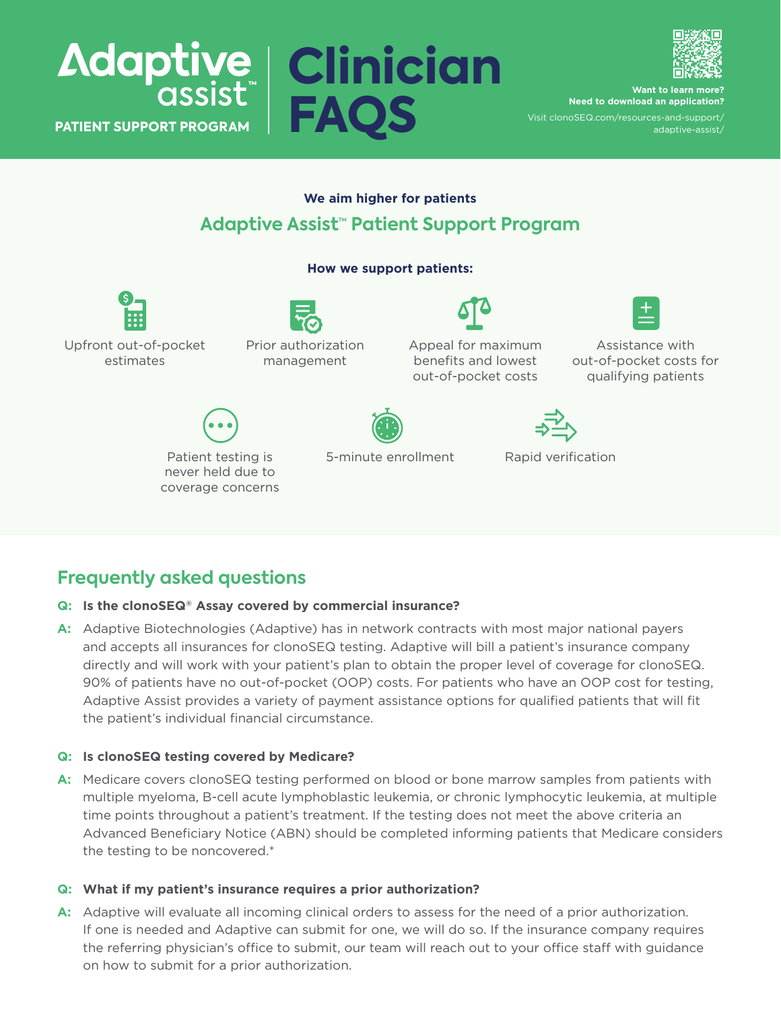



**Want** to learn **n Need to download an application?**

Visit [clonoSEQ.com/resources-and-support/](http://clonoSEQ.com/resources-and-support/adaptive-assist/) [adaptive-assist/](http://clonoSEQ.com/resources-and-support/adaptive-assist/)

# **We aim higher for patients Adaptive Assist™ Patient Support Program**

**How we support patients:**



Upfront out-of-pocket estimates

Prior authorization management

Appeal for maximum benefits and lowest out-of-pocket costs

Assistance with out-of-pocket costs for qualifying patients





5-minute enrollment Rapid verification

# **Frequently asked questions**

### **Q: Is the clonoSEQ® Assay covered by commercial insurance?**

**A:** Adaptive Biotechnologies (Adaptive) has in network contracts with most major national payers and accepts all insurances for clonoSEQ testing. Adaptive will bill a patient's insurance company directly and will work with your patient's plan to obtain the proper level of coverage for clonoSEQ. 90% of patients have no out-of-pocket (OOP) costs. For patients who have an OOP cost for testing, Adaptive Assist provides a variety of payment assistance options for qualified patients that will fit the patient's individual financial circumstance.

## **Q: Is clonoSEQ testing covered by Medicare?**

**A:** Medicare covers clonoSEQ testing performed on blood or bone marrow samples from patients with multiple myeloma, B-cell acute lymphoblastic leukemia, or chronic lymphocytic leukemia, at multiple time points throughout a patient's treatment. If the testing does not meet the above criteria an Advanced Beneficiary Notice (ABN) should be completed informing patients that Medicare considers the testing to be noncovered.\*

## **Q: What if my patient's insurance requires a prior authorization?**

A: Adaptive will evaluate all incoming clinical orders to assess for the need of a prior authorization. If one is needed and Adaptive can submit for one, we will do so. If the insurance company requires the referring physician's office to submit, our team will reach out to your office staff with guidance on how to submit for a prior authorization.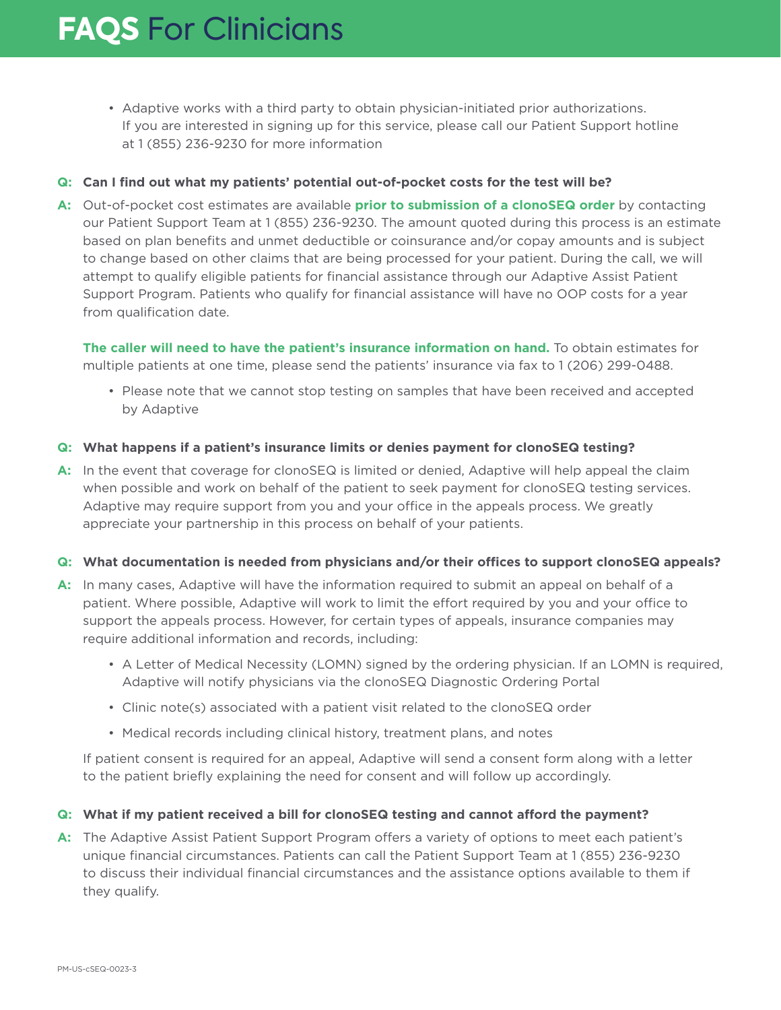• Adaptive works with a third party to obtain physician-initiated prior authorizations. If you are interested in signing up for this service, please call our Patient Support hotline at 1 (855) 236-9230 for more information

#### **Q: Can I find out what my patients' potential out-of-pocket costs for the test will be?**

**A:**  Out-of-pocket cost estimates are available **prior to submission of a clonoSEQ order** by contacting our Patient Support Team at 1 (855) 236-9230. The amount quoted during this process is an estimate based on plan benefits and unmet deductible or coinsurance and/or copay amounts and is subject to change based on other claims that are being processed for your patient. During the call, we will attempt to qualify eligible patients for financial assistance through our Adaptive Assist Patient Support Program. Patients who qualify for financial assistance will have no OOP costs for a year from qualification date.

**The caller will need to have the patient's insurance information on hand.** To obtain estimates for multiple patients at one time, please send the patients' insurance via fax to 1 (206) 299-0488.

• Please note that we cannot stop testing on samples that have been received and accepted by Adaptive

#### **Q: What happens if a patient's insurance limits or denies payment for clonoSEQ testing?**

**A:** In the event that coverage for clonoSEQ is limited or denied, Adaptive will help appeal the claim when possible and work on behalf of the patient to seek payment for clonoSEQ testing services. Adaptive may require support from you and your office in the appeals process. We greatly appreciate your partnership in this process on behalf of your patients.

#### **Q: What documentation is needed from physicians and/or their offices to support clonoSEQ appeals?**

- **A:** In many cases, Adaptive will have the information required to submit an appeal on behalf of a patient. Where possible, Adaptive will work to limit the effort required by you and your office to support the appeals process. However, for certain types of appeals, insurance companies may require additional information and records, including:
	- A Letter of Medical Necessity (LOMN) signed by the ordering physician. If an LOMN is required, Adaptive will notify physicians via the clonoSEQ Diagnostic Ordering Portal
	- Clinic note(s) associated with a patient visit related to the clonoSEQ order
	- Medical records including clinical history, treatment plans, and notes

If patient consent is required for an appeal, Adaptive will send a consent form along with a letter to the patient briefly explaining the need for consent and will follow up accordingly.

### **Q: What if my patient received a bill for clonoSEQ testing and cannot afford the payment?**

**A:** The Adaptive Assist Patient Support Program offers a variety of options to meet each patient's unique financial circumstances. Patients can call the Patient Support Team at 1 (855) 236-9230 to discuss their individual financial circumstances and the assistance options available to them if they qualify.